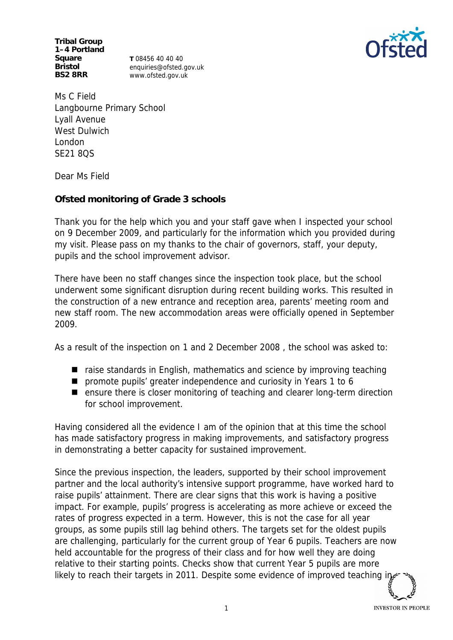**Tribal Group 1–4 Portland Square Bristol BS2 8RR**

**T** 08456 40 40 40 enquiries@ofsted.gov.uk www.ofsted.gov.uk



Ms C Field Langbourne Primary School Lyall Avenue West Dulwich London SE21 8QS

Dear Ms Field

**Ofsted monitoring of Grade 3 schools**

Thank you for the help which you and your staff gave when I inspected your school on 9 December 2009, and particularly for the information which you provided during my visit. Please pass on my thanks to the chair of governors, staff, your deputy, pupils and the school improvement advisor.

There have been no staff changes since the inspection took place, but the school underwent some significant disruption during recent building works. This resulted in the construction of a new entrance and reception area, parents' meeting room and new staff room. The new accommodation areas were officially opened in September 2009.

As a result of the inspection on 1 and 2 December 2008 , the school was asked to:

- $\blacksquare$  raise standards in English, mathematics and science by improving teaching
- promote pupils' greater independence and curiosity in Years 1 to 6
- ensure there is closer monitoring of teaching and clearer long-term direction for school improvement.

Having considered all the evidence I am of the opinion that at this time the school has made satisfactory progress in making improvements, and satisfactory progress in demonstrating a better capacity for sustained improvement.

Since the previous inspection, the leaders, supported by their school improvement partner and the local authority's intensive support programme, have worked hard to raise pupils' attainment. There are clear signs that this work is having a positive impact. For example, pupils' progress is accelerating as more achieve or exceed the rates of progress expected in a term. However, this is not the case for all year groups, as some pupils still lag behind others. The targets set for the oldest pupils are challenging, particularly for the current group of Year 6 pupils. Teachers are now held accountable for the progress of their class and for how well they are doing relative to their starting points. Checks show that current Year 5 pupils are more likely to reach their targets in 2011. Despite some evidence of improved teaching in

**INVESTOR IN PEOPLE**